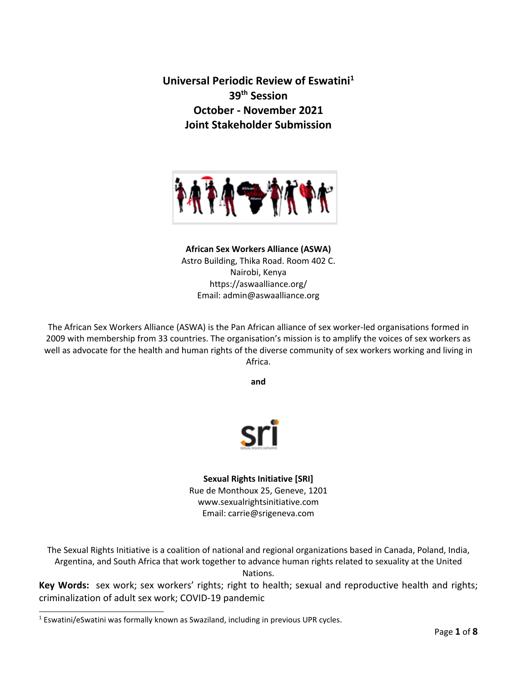**Universal Periodic Review of Eswatini 1 39th Session October - November 2021 Joint Stakeholder Submission**



## **African Sex Workers Alliance (ASWA)** Astro Building, Thika Road. Room 402 C. Nairobi, Kenya https://aswaalliance.org/ Email: admin@aswaalliance.org

The African Sex Workers Alliance (ASWA) is the Pan African alliance of sex worker-led organisations formed in 2009 with membership from 33 countries. The organisation'<sup>s</sup> mission is to amplify the voices of sex workers as well as advocate for the health and human rights of the diverse community of sex workers working and living in Africa.

**and**



**Sexual Rights Initiative [SRI]** Rue de Monthoux 25, Geneve, 1201 www.sexualrightsinitiative.com Email: carrie@srigeneva.com

The Sexual Rights Initiative is <sup>a</sup> coalition of national and regional organizations based in Canada, Poland, India, Argentina, and South Africa that work together to advance human rights related to sexuality at the United Nations.

**Key Words:** sex work; sex workers' rights; right to health; sexual and reproductive health and rights; criminalization of adult sex work; COVID-19 pandemic

<sup>1</sup> Eswatini/eSwatini was formally known as Swaziland, including in previous UPR cycles.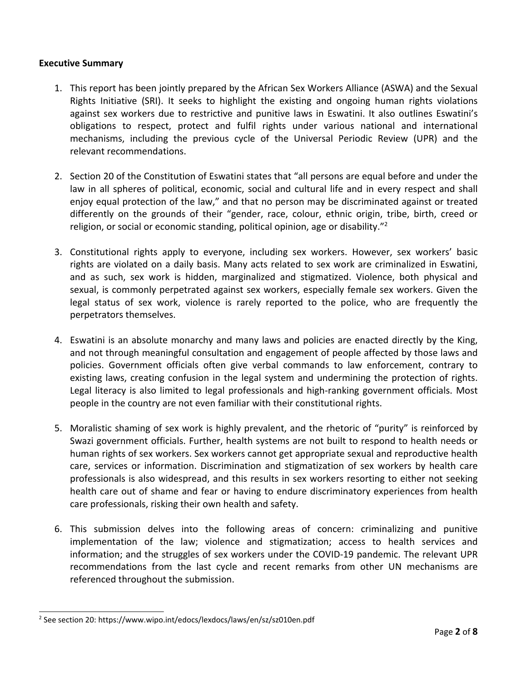#### **Executive Summary**

- 1. This report has been jointly prepared by the African Sex Workers Alliance (ASWA) and the Sexual Rights Initiative (SRI). It seeks to highlight the existing and ongoing human rights violations against sex workers due to restrictive and punitive laws in Eswatini. It also outlines Eswatini'<sup>s</sup> obligations to respect, protect and fulfil rights under various national and international mechanisms, including the previous cycle of the Universal Periodic Review (UPR) and the relevant recommendations.
- 2. Section 20 of the Constitution of Eswatini states that "all persons are equal before and under the law in all spheres of political, economic, social and cultural life and in every respect and shall enjoy equal protection of the law," and that no person may be discriminated against or treated differently on the grounds of their "gender, race, colour, ethnic origin, tribe, birth, creed or religion, or social or economic standing, political opinion, age or disability."<sup>2</sup>
- 3. Constitutional rights apply to everyone, including sex workers. However, sex workers' basic rights are violated on <sup>a</sup> daily basis. Many acts related to sex work are criminalized in Eswatini, and as such, sex work is hidden, marginalized and stigmatized. Violence, both physical and sexual, is commonly perpetrated against sex workers, especially female sex workers. Given the legal status of sex work, violence is rarely reported to the police, who are frequently the perpetrators themselves.
- 4. Eswatini is an absolute monarchy and many laws and policies are enacted directly by the King, and not through meaningful consultation and engagement of people affected by those laws and policies. Government officials often give verbal commands to law enforcement, contrary to existing laws, creating confusion in the legal system and undermining the protection of rights. Legal literacy is also limited to legal professionals and high-ranking government officials. Most people in the country are not even familiar with their constitutional rights.
- 5. Moralistic shaming of sex work is highly prevalent, and the rhetoric of "purity" is reinforced by Swazi government officials. Further, health systems are not built to respond to health needs or human rights of sex workers. Sex workers cannot get appropriate sexual and reproductive health care, services or information. Discrimination and stigmatization of sex workers by health care professionals is also widespread, and this results in sex workers resorting to either not seeking health care out of shame and fear or having to endure discriminatory experiences from health care professionals, risking their own health and safety.
- 6. This submission delves into the following areas of concern: criminalizing and punitive implementation of the law; violence and stigmatization; access to health services and information; and the struggles of sex workers under the COVID-19 pandemic. The relevant UPR recommendations from the last cycle and recent remarks from other UN mechanisms are referenced throughout the submission.

<sup>2</sup> See section 20: https://www.wipo.int/edocs/lexdocs/laws/en/sz/sz010en.pdf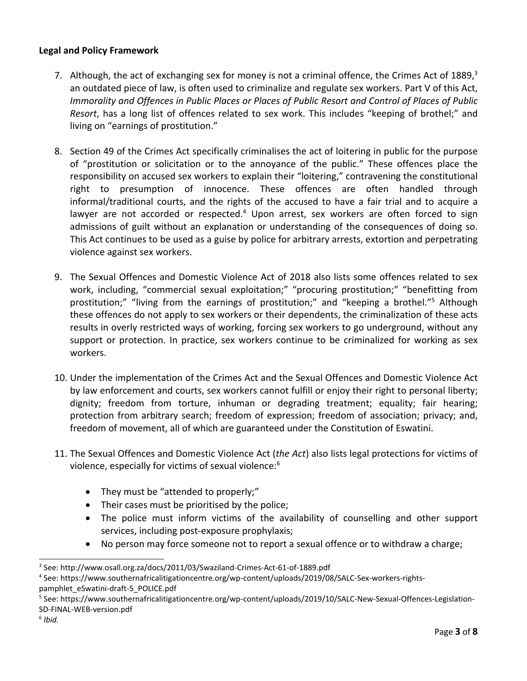# **Legal and Policy Framework**

- 7. Although, the act of exchanging sex for money is not a criminal offence, the Crimes Act of 1889,<sup>3</sup> an outdated piece of law, is often used to criminalize and regulate sex workers. Part V of this Act, *Immorality and Offences in Public Places or Places of Public Resort and Control of Places of Public Resort*, has <sup>a</sup> long list of offences related to sex work. This includes "keeping of brothel;" and living on "earnings of prostitution."
- 8. Section 49 of the Crimes Act specifically criminalises the act of loitering in public for the purpose of "prostitution or solicitation or to the annoyance of the public." These offences place the responsibility on accused sex workers to explain their "loitering," contravening the constitutional right to presumption of innocence. These offences are often handled through informal/traditional courts, and the rights of the accused to have <sup>a</sup> fair trial and to acquire <sup>a</sup> lawyer are not accorded or respected.<sup>4</sup> Upon arrest, sex workers are often forced to sign admissions of guilt without an explanation or understanding of the consequences of doing so. This Act continues to be used as <sup>a</sup> guise by police for arbitrary arrests, extortion and perpetrating violence against sex workers.
- 9. The Sexual Offences and Domestic Violence Act of 2018 also lists some offences related to sex work, including, "commercial sexual exploitation;" "procuring prostitution;" "benefitting from prostitution;" "living from the earnings of prostitution;" and "keeping a brothel."<sup>5</sup> Although these offences do not apply to sex workers or their dependents, the criminalization of these acts results in overly restricted ways of working, forcing sex workers to go underground, without any support or protection. In practice, sex workers continue to be criminalized for working as sex workers.
- 10. Under the implementation of the Crimes Act and the Sexual Offences and Domestic Violence Act by law enforcement and courts, sex workers cannot fulfill or enjoy their right to personal liberty; dignity; freedom from torture, inhuman or degrading treatment; equality; fair hearing; protection from arbitrary search; freedom of expression; freedom of association; privacy; and, freedom of movement, all of which are guaranteed under the Constitution of Eswatini.
- 11. The Sexual Offences and Domestic Violence Act (*the Act*) also lists legal protections for victims of violence, especially for victims of sexual violence: $^6$ 
	- They must be "attended to properly;"
	- Their cases must be prioritised by the police;
	- The police must inform victims of the availability of counselling and other support services, including post-exposure prophylaxis;
	- $\bullet$ No person may force someone not to report <sup>a</sup> sexual offence or to withdraw <sup>a</sup> charge;

<sup>3</sup> See: http://www.osall.org.za/docs/2011/03/Swaziland-Crimes-Act-61-of-1889.pdf

<sup>4</sup> See: https://www.southernafricalitigationcentre.org/wp-content/uploads/2019/08/SALC-Sex-workers-rightspamphlet\_eSwatini-draft-5\_POLICE.pdf

<sup>5</sup> See: https://www.southernafricalitigationcentre.org/wp-content/uploads/2019/10/SALC-New-Sexual-Offences-Legislation-SD-FINAL-WEB-version.pdf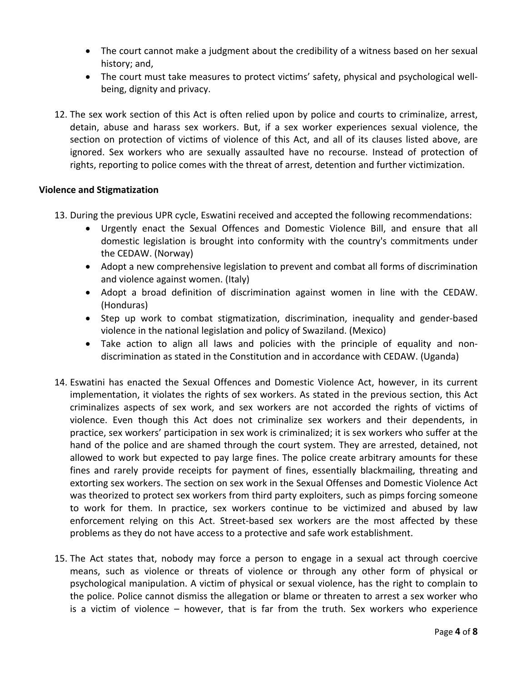- The court cannot make <sup>a</sup> judgment about the credibility of <sup>a</sup> witness based on her sexual history; and,
- The court must take measures to protect victims' safety, physical and psychological wellbeing, dignity and privacy.
- 12. The sex work section of this Act is often relied upon by police and courts to criminalize, arrest, detain, abuse and harass sex workers. But, if <sup>a</sup> sex worker experiences sexual violence, the section on protection of victims of violence of this Act, and all of its clauses listed above, are ignored. Sex workers who are sexually assaulted have no recourse. Instead of protection of rights, reporting to police comes with the threat of arrest, detention and further victimization.

## **Violence and Stigmatization**

- 13. During the previous UPR cycle, Eswatini received and accepted the following recommendations:
	- Urgently enact the Sexual Offences and Domestic Violence Bill, and ensure that all domestic legislation is brought into conformity with the country's commitments under the CEDAW. (Norway)
	- Adopt <sup>a</sup> new comprehensive legislation to prevent and combat all forms of discrimination and violence against women. (Italy)
	- Adopt <sup>a</sup> broad definition of discrimination against women in line with the CEDAW. (Honduras)
	- Step up work to combat stigmatization, discrimination, inequality and gender-based violence in the national legislation and policy of Swaziland. (Mexico)
	- Take action to align all laws and policies with the principle of equality and nondiscrimination as stated in the Constitution and in accordance with CEDAW. (Uganda)
- 14. Eswatini has enacted the Sexual Offences and Domestic Violence Act, however, in its current implementation, it violates the rights of sex workers. As stated in the previous section, this Act criminalizes aspects of sex work, and sex workers are not accorded the rights of victims of violence. Even though this Act does not criminalize sex workers and their dependents, in practice, sex workers' participation in sex work is criminalized; it is sex workers who suffer at the hand of the police and are shamed through the court system. They are arrested, detained, not allowed to work but expected to pay large fines. The police create arbitrary amounts for these fines and rarely provide receipts for payment of fines, essentially blackmailing, threating and extorting sex workers. The section on sex work in the Sexual Offenses and Domestic Violence Act was theorized to protect sex workers from third party exploiters, such as pimps forcing someone to work for them. In practice, sex workers continue to be victimized and abused by law enforcement relying on this Act. Street-based sex workers are the most affected by these problems as they do not have access to <sup>a</sup> protective and safe work establishment.
- 15. The Act states that, nobody may force <sup>a</sup> person to engage in <sup>a</sup> sexual act through coercive means, such as violence or threats of violence or through any other form of physical or psychological manipulation. A victim of physical or sexual violence, has the right to complain to the police. Police cannot dismiss the allegation or blame or threaten to arrest <sup>a</sup> sex worker who is <sup>a</sup> victim of violence – however, that is far from the truth. Sex workers who experience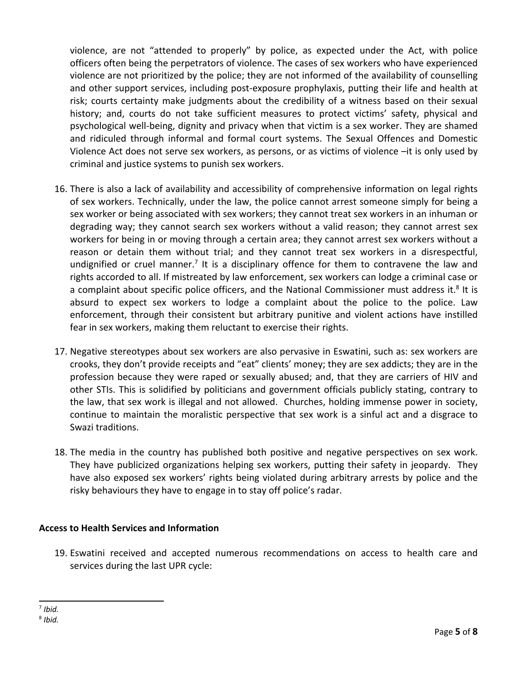violence, are not "attended to properly" by police, as expected under the Act, with police officers often being the perpetrators of violence. The cases of sex workers who have experienced violence are not prioritized by the police; they are not informed of the availability of counselling and other support services, including post-exposure prophylaxis, putting their life and health at risk; courts certainty make judgments about the credibility of <sup>a</sup> witness based on their sexual history; and, courts do not take sufficient measures to protect victims' safety, physical and psychological well-being, dignity and privacy when that victim is <sup>a</sup> sex worker. They are shamed and ridiculed through informal and formal court systems. The Sexual Offences and Domestic Violence Act does not serve sex workers, as persons, or as victims of violence –it is only used by criminal and justice systems to punish sex workers.

- 16. There is also <sup>a</sup> lack of availability and accessibility of comprehensive information on legal rights of sex workers. Technically, under the law, the police cannot arrest someone simply for being <sup>a</sup> sex worker or being associated with sex workers; they cannot treat sex workers in an inhuman or degrading way; they cannot search sex workers without <sup>a</sup> valid reason; they cannot arrest sex workers for being in or moving through <sup>a</sup> certain area; they cannot arrest sex workers without <sup>a</sup> reason or detain them without trial; and they cannot treat sex workers in <sup>a</sup> disrespectful, undignified or cruel manner.<sup>7</sup> It is a disciplinary offence for them to contravene the law and rights accorded to all. If mistreated by law enforcement, sex workers can lodge <sup>a</sup> criminal case or a complaint about specific police officers, and the National Commissioner must address it. $8$  It is absurd to expect sex workers to lodge <sup>a</sup> complaint about the police to the police. Law enforcement, through their consistent but arbitrary punitive and violent actions have instilled fear in sex workers, making them reluctant to exercise their rights.
- 17. Negative stereotypes about sex workers are also pervasive in Eswatini, such as: sex workers are crooks, they don'<sup>t</sup> provide receipts and "eat" clients' money; they are sex addicts; they are in the profession because they were raped or sexually abused; and, that they are carriers of HIV and other STIs. This is solidified by politicians and government officials publicly stating, contrary to the law, that sex work is illegal and not allowed. Churches, holding immense power in society, continue to maintain the moralistic perspective that sex work is <sup>a</sup> sinful act and <sup>a</sup> disgrace to Swazi traditions.
- 18. The media in the country has published both positive and negative perspectives on sex work. They have publicized organizations helping sex workers, putting their safety in jeopardy. They have also exposed sex workers' rights being violated during arbitrary arrests by police and the risky behaviours they have to engage in to stay off police'<sup>s</sup> radar.

## **Access to Health Services and Information**

19. Eswatini received and accepted numerous recommendations on access to health care and services during the last UPR cycle:

<sup>7</sup> *Ibid.*

<sup>8</sup> *Ibid.*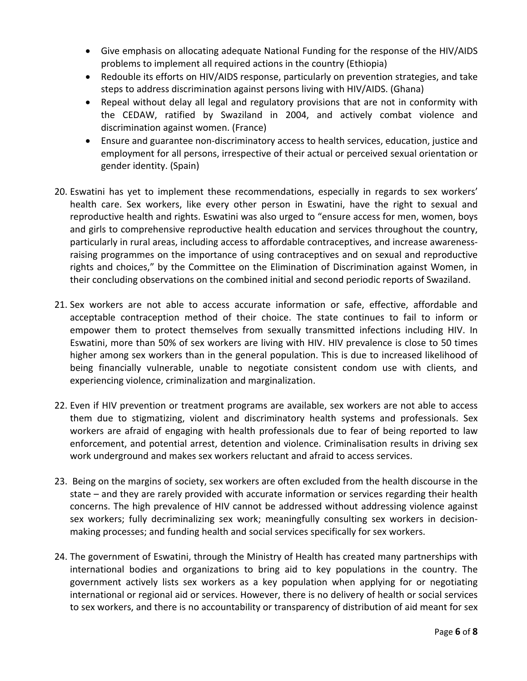- $\bullet$  Give emphasis on allocating adequate National Funding for the response of the HIV/AIDS problems to implement all required actions in the country (Ethiopia)
- Redouble its efforts on HIV/AIDS response, particularly on prevention strategies, and take steps to address discrimination against persons living with HIV/AIDS. (Ghana)
- Repeal without delay all legal and regulatory provisions that are not in conformity with the CEDAW, ratified by Swaziland in 2004, and actively combat violence and discrimination against women. (France)
- Ensure and guarantee non-discriminatory access to health services, education, justice and employment for all persons, irrespective of their actual or perceived sexual orientation or gender identity. (Spain)
- 20. Eswatini has yet to implement these recommendations, especially in regards to sex workers' health care. Sex workers, like every other person in Eswatini, have the right to sexual and reproductive health and rights. Eswatini was also urged to "ensure access for men, women, boys and girls to comprehensive reproductive health education and services throughout the country, particularly in rural areas, including access to affordable contraceptives, and increase awarenessraising programmes on the importance of using contraceptives and on sexual and reproductive rights and choices," by the Committee on the Elimination of Discrimination against Women, in their concluding observations on the combined initial and second periodic reports of Swaziland.
- 21. Sex workers are not able to access accurate information or safe, effective, affordable and acceptable contraception method of their choice. The state continues to fail to inform or empower them to protect themselves from sexually transmitted infections including HIV. In Eswatini, more than 50% of sex workers are living with HIV. HIV prevalence is close to 50 times higher among sex workers than in the general population. This is due to increased likelihood of being financially vulnerable, unable to negotiate consistent condom use with clients, and experiencing violence, criminalization and marginalization.
- 22. Even if HIV prevention or treatment programs are available, sex workers are not able to access them due to stigmatizing, violent and discriminatory health systems and professionals. Sex workers are afraid of engaging with health professionals due to fear of being reported to law enforcement, and potential arrest, detention and violence. Criminalisation results in driving sex work underground and makes sex workers reluctant and afraid to access services.
- 23. Being on the margins of society, sex workers are often excluded from the health discourse in the state – and they are rarely provided with accurate information or services regarding their health concerns. The high prevalence of HIV cannot be addressed without addressing violence against sex workers; fully decriminalizing sex work; meaningfully consulting sex workers in decisionmaking processes; and funding health and social services specifically for sex workers.
- 24. The government of Eswatini, through the Ministry of Health has created many partnerships with international bodies and organizations to bring aid to key populations in the country. The government actively lists sex workers as <sup>a</sup> key population when applying for or negotiating international or regional aid or services. However, there is no delivery of health or social services to sex workers, and there is no accountability or transparency of distribution of aid meant for sex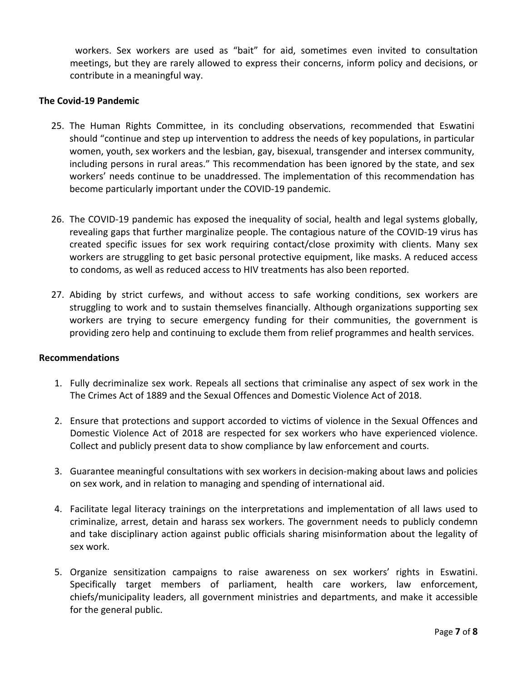workers. Sex workers are used as "bait" for aid, sometimes even invited to consultation meetings, but they are rarely allowed to express their concerns, inform policy and decisions, or contribute in <sup>a</sup> meaningful way.

#### **The Covid-19 Pandemic**

- 25. The Human Rights Committee, in its concluding observations, recommended that Eswatini should "continue and step up intervention to address the needs of key populations, in particular women, youth, sex workers and the lesbian, gay, bisexual, transgender and intersex community, including persons in rural areas." This recommendation has been ignored by the state, and sex workers' needs continue to be unaddressed. The implementation of this recommendation has become particularly important under the COVID-19 pandemic.
- 26. The COVID-19 pandemic has exposed the inequality of social, health and legal systems globally, revealing gaps that further marginalize people. The contagious nature of the COVID-19 virus has created specific issues for sex work requiring contact/close proximity with clients. Many sex workers are struggling to get basic personal protective equipment, like masks. A reduced access to condoms, as well as reduced access to HIV treatments has also been reported.
- 27. Abiding by strict curfews, and without access to safe working conditions, sex workers are struggling to work and to sustain themselves financially. Although organizations supporting sex workers are trying to secure emergency funding for their communities, the government is providing zero help and continuing to exclude them from relief programmes and health services.

#### **Recommendations**

- 1. Fully decriminalize sex work. Repeals all sections that criminalise any aspect of sex work in the The Crimes Act of 1889 and the Sexual Offences and Domestic Violence Act of 2018.
- 2. Ensure that protections and support accorded to victims of violence in the Sexual Offences and Domestic Violence Act of 2018 are respected for sex workers who have experienced violence. Collect and publicly present data to show compliance by law enforcement and courts.
- 3. Guarantee meaningful consultations with sex workers in decision-making about laws and policies on sex work, and in relation to managing and spending of international aid.
- 4. Facilitate legal literacy trainings on the interpretations and implementation of all laws used to criminalize, arrest, detain and harass sex workers. The government needs to publicly condemn and take disciplinary action against public officials sharing misinformation about the legality of sex work.
- 5. Organize sensitization campaigns to raise awareness on sex workers' rights in Eswatini. Specifically target members of parliament, health care workers, law enforcement, chiefs/municipality leaders, all government ministries and departments, and make it accessible for the general public.